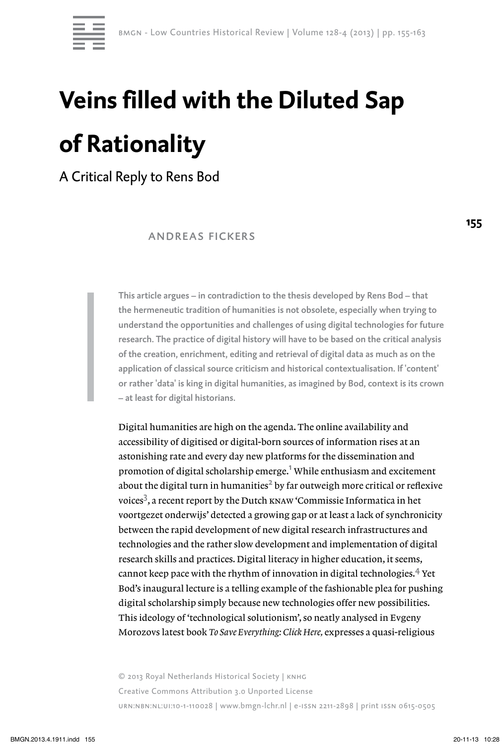

## **Veins filled with the Diluted Sap of Rationality**

A Critical Reply to Rens Bod

 andreas fickers

This article argues – in contradiction to the thesis developed by Rens Bod – that the hermeneutic tradition of humanities is not obsolete, especially when trying to understand the opportunities and challenges of using digital technologies for future research. The practice of digital history will have to be based on the critical analysis of the creation, enrichment, editing and retrieval of digital data as much as on the application of classical source criticism and historical contextualisation. If 'content' or rather 'data' is king in digital humanities, as imagined by Bod, context is its crown – at least for digital historians.

Digital humanities are high on the agenda. The online availability and accessibility of digitised or digital-born sources of information rises at an astonishing rate and every day new platforms for the dissemination and promotion of digital scholarship emerge. $^{\text{1}}$  While enthusiasm and excitement about the digital turn in humanities $^2$  by far outweigh more critical or reflexive voices<sup>3</sup>, a recent report by the Dutch **KNAW** 'Commissie Informatica in het voortgezet onderwijs' detected a growing gap or at least a lack of synchronicity between the rapid development of new digital research infrastructures and technologies and the rather slow development and implementation of digital research skills and practices. Digital literacy in higher education, it seems, cannot keep pace with the rhythm of innovation in digital technologies. $4$  Yet Bod's inaugural lecture is a telling example of the fashionable plea for pushing digital scholarship simply because new technologies offer new possibilities. This ideology of 'technological solutionism', so neatly analysed in Evgeny Morozovs latest book *To Save Everything: Click Here,* expresses a quasi-religious

© 2013 Royal Netherlands Historical Society | knhg Creative Commons Attribution 3.0 Unported License urn:nbn:nl:ui:10-1-110028 | www.bmgn-lchr.nl | e-issn 2211-2898 | print issn 0615-0505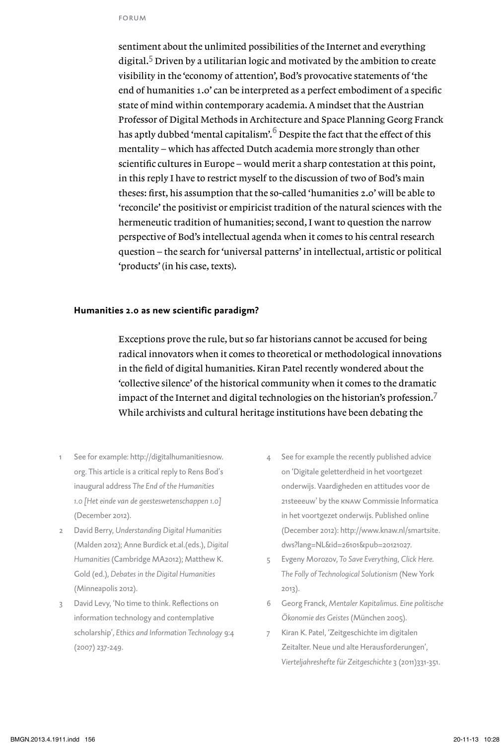sentiment about the unlimited possibilities of the Internet and everything digital.<sup>5</sup> Driven by a utilitarian logic and motivated by the ambition to create visibility in the 'economy of attention', Bod's provocative statements of 'the end of humanities 1.0' can be interpreted as a perfect embodiment of a specific state of mind within contemporary academia. A mindset that the Austrian Professor of Digital Methods in Architecture and Space Planning Georg Franck has aptly dubbed 'mental capitalism'.<sup>6</sup> Despite the fact that the effect of this mentality – which has affected Dutch academia more strongly than other scientific cultures in Europe – would merit a sharp contestation at this point, in this reply I have to restrict myself to the discussion of two of Bod's main theses: first, his assumption that the so-called 'humanities 2.0' will be able to 'reconcile' the positivist or empiricist tradition of the natural sciences with the hermeneutic tradition of humanities; second, I want to question the narrow perspective of Bod's intellectual agenda when it comes to his central research question – the search for 'universal patterns' in intellectual, artistic or political 'products' (in his case, texts).

## **Humanities 2.0 as new scientific paradigm?**

Exceptions prove the rule, but so far historians cannot be accused for being radical innovators when it comes to theoretical or methodological innovations in the field of digital humanities. Kiran Patel recently wondered about the 'collective silence' of the historical community when it comes to the dramatic impact of the Internet and digital technologies on the historian's profession.<sup>7</sup> While archivists and cultural heritage institutions have been debating the

- 1 See for example: http://digitalhumanitiesnow. org. This article is a critical reply to Rens Bod's inaugural address *The End of the Humanities 1.0 [Het einde van de geesteswetenschappen 1.0]* (December 2012).
- 2 David Berry, *Understanding Digital Humanities* (Malden 2012); Anne Burdick et.al.(eds.), *Digital Humanities* (Cambridge MA2012); Matthew K. Gold (ed.), *Debates in the Digital Humanities* (Minneapolis 2012).
- 3 David Levy, 'No time to think. Reflections on information technology and contemplative scholarship', *Ethics and Information Technology* 9:4 (2007) 237-249.
- 4 See for example the recently published advice on 'Digitale geletterdheid in het voortgezet onderwijs. Vaardigheden en attitudes voor de 21steeeuw' by the knaw Commissie Informatica in het voortgezet onderwijs. Published online (December 2012): http://www.knaw.nl/smartsite. dws?lang=NL&id=26101&pub=20121027.
- 5 Evgeny Morozov, *To Save Everything, Click Here. The Folly of Technological Solutionism* (New York 2013).
- 6 Georg Franck, *Mentaler Kapitalimus. Eine politische Ökonomie des Geistes* (München 2005).
- 7 Kiran K. Patel, 'Zeitgeschichte im digitalen Zeitalter. Neue und alte Herausforderungen', *Vierteljahreshefte für Zeitgeschichte* 3 (2011)331-351.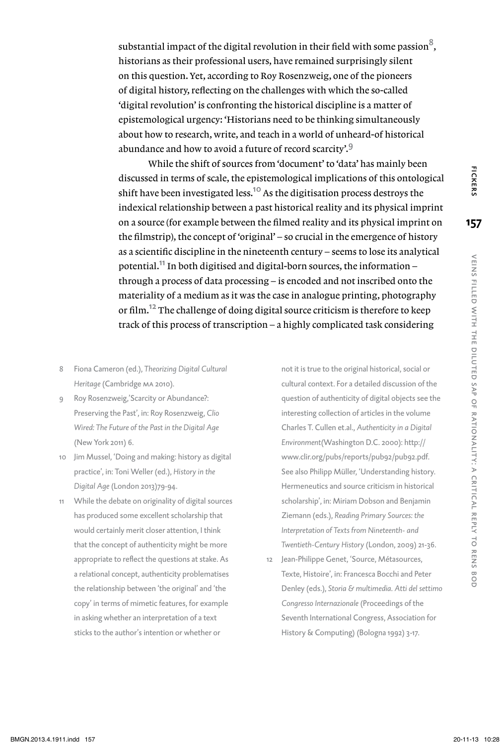substantial impact of the digital revolution in their field with some passion<sup>8</sup>, historians as their professional users, have remained surprisingly silent on this question. Yet, according to Roy Rosenzweig, one of the pioneers of digital history, reflecting on the challenges with which the so-called 'digital revolution' is confronting the historical discipline is a matter of epistemological urgency: 'Historians need to be thinking simultaneously about how to research, write, and teach in a world of unheard-of historical abundance and how to avoid a future of record scarcity'.<sup>9</sup>

While the shift of sources from 'document' to 'data' has mainly been discussed in terms of scale, the epistemological implications of this ontological shift have been investigated less.<sup>10</sup> As the digitisation process destroys the indexical relationship between a past historical reality and its physical imprint on a source (for example between the filmed reality and its physical imprint on the filmstrip), the concept of 'original' – so crucial in the emergence of history as a scientific discipline in the nineteenth century – seems to lose its analytical potential.11 In both digitised and digital-born sources, the information – through a process of data processing – is encoded and not inscribed onto the materiality of a medium as it was the case in analogue printing, photography or film.12 The challenge of doing digital source criticism is therefore to keep track of this process of transcription – a highly complicated task considering

- 8 Fiona Cameron (ed.), *Theorizing Digital Cultural Heritage* (Cambridge ma 2010).
- 9 Roy Rosenzweig,'Scarcity or Abundance?: Preserving the Past', in: Roy Rosenzweig, *Clio Wired: The Future of the Past in the Digital Age* (New York 2011) 6.
- Jim Mussel, 'Doing and making: history as digital practice', in: Toni Weller (ed.), *History in the Digital Age* (London 2013)79-94.
- 11 While the debate on originality of digital sources has produced some excellent scholarship that would certainly merit closer attention, I think that the concept of authenticity might be more appropriate to reflect the questions at stake. As a relational concept, authenticity problematises the relationship between 'the original' and 'the copy' in terms of mimetic features, for example in asking whether an interpretation of a text sticks to the author's intention or whether or

not it is true to the original historical, social or cultural context. For a detailed discussion of the question of authenticity of digital objects see the interesting collection of articles in the volume Charles T. Cullen et.al., *Authenticity in a Digital Environment*(Washington D.C. 2000): http:// www.clir.org/pubs/reports/pub92/pub92.pdf. See also Philipp Müller, 'Understanding history. Hermeneutics and source criticism in historical scholarship', in: Miriam Dobson and Benjamin Ziemann (eds.), *Reading Primary Sources: the Interpretation of Texts from Nineteenth- and Twentieth-Century History* (London, 2009) 21-36.

12 Jean-Philippe Genet, 'Source, Métasources, Texte, Histoire', in: Francesca Bocchi and Peter Denley (eds.), *Storia & multimedia. Atti del settimo Congresso Internazionale* (Proceedings of the Seventh International Congress, Association for History & Computing) (Bologna 1992) 3-17.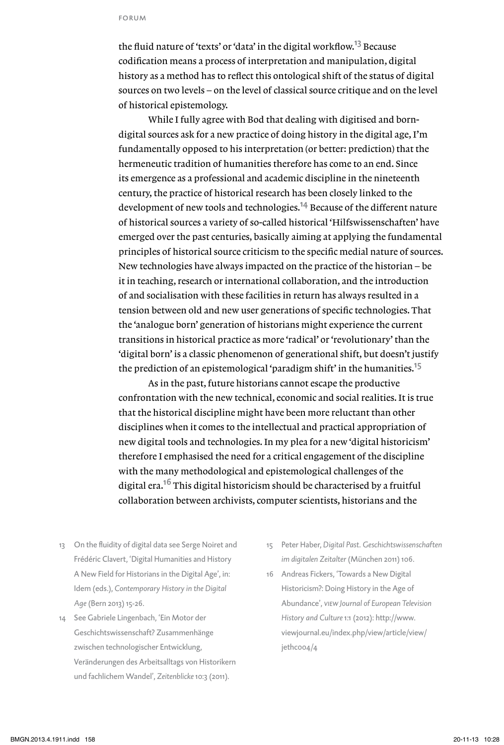the fluid nature of 'texts' or 'data' in the digital workflow.<sup>13</sup> Because codification means a process of interpretation and manipulation, digital history as a method has to reflect this ontological shift of the status of digital sources on two levels – on the level of classical source critique and on the level of historical epistemology.

While I fully agree with Bod that dealing with digitised and borndigital sources ask for a new practice of doing history in the digital age, I'm fundamentally opposed to his interpretation (or better: prediction) that the hermeneutic tradition of humanities therefore has come to an end. Since its emergence as a professional and academic discipline in the nineteenth century, the practice of historical research has been closely linked to the development of new tools and technologies.<sup>14</sup> Because of the different nature of historical sources a variety of so-called historical 'Hilfswissenschaften' have emerged over the past centuries, basically aiming at applying the fundamental principles of historical source criticism to the specific medial nature of sources. New technologies have always impacted on the practice of the historian – be it in teaching, research or international collaboration, and the introduction of and socialisation with these facilities in return has always resulted in a tension between old and new user generations of specific technologies. That the 'analogue born' generation of historians might experience the current transitions in historical practice as more 'radical' or 'revolutionary' than the 'digital born' is a classic phenomenon of generational shift, but doesn't justify the prediction of an epistemological 'paradigm shift' in the humanities.<sup>15</sup>

As in the past, future historians cannot escape the productive confrontation with the new technical, economic and social realities. It is true that the historical discipline might have been more reluctant than other disciplines when it comes to the intellectual and practical appropriation of new digital tools and technologies. In my plea for a new 'digital historicism' therefore I emphasised the need for a critical engagement of the discipline with the many methodological and epistemological challenges of the digital era.<sup>16</sup> This digital historicism should be characterised by a fruitful collaboration between archivists, computer scientists, historians and the

- 13 On the fluidity of digital data see Serge Noiret and Frédéric Clavert, 'Digital Humanities and History A New Field for Historians in the Digital Age', in: Idem (eds.), *Contemporary History in the Digital Age* (Bern 2013) 15-26.
- 14 See Gabriele Lingenbach, 'Ein Motor der Geschichtswissenschaft? Zusammenhänge zwischen technologischer Entwicklung, Veränderungen des Arbeitsalltags von Historikern und fachlichem Wandel', *Zeitenblicke* 10:3 (2011).
- 15 Peter Haber, *Digital Past. Geschichtswissenschaften im digitalen Zeitalter* (München 2011) 106.
- 16 Andreas Fickers, 'Towards a New Digital Historicism?: Doing History in the Age of Abundance', *view Journal of European Television History and Culture* 1:1 (2012): http://www. viewjournal.eu/index.php/view/article/view/ jethc004/4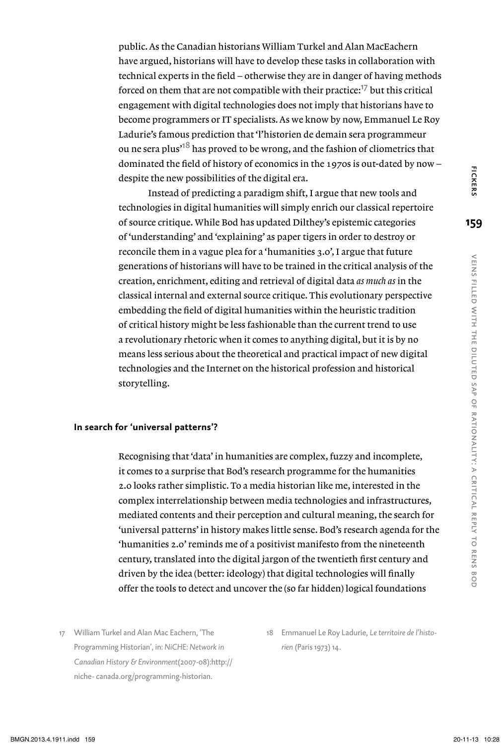public. As the Canadian historians William Turkel and Alan MacEachern have argued, historians will have to develop these tasks in collaboration with technical experts in the field – otherwise they are in danger of having methods forced on them that are not compatible with their practice: $\frac{1}{7}$  but this critical engagement with digital technologies does not imply that historians have to become programmers or IT specialists. As we know by now, Emmanuel Le Roy Ladurie's famous prediction that 'l'historien de demain sera programmeur ou ne sera plus<sup>18</sup> has proved to be wrong, and the fashion of cliometrics that dominated the field of history of economics in the 1970s is out-dated by now – despite the new possibilities of the digital era.

Instead of predicting a paradigm shift, I argue that new tools and technologies in digital humanities will simply enrich our classical repertoire of source critique. While Bod has updated Dilthey's epistemic categories of 'understanding' and 'explaining' as paper tigers in order to destroy or reconcile them in a vague plea for a 'humanities 3.0', I argue that future generations of historians will have to be trained in the critical analysis of the creation, enrichment, editing and retrieval of digital data *as much as* in the classical internal and external source critique. This evolutionary perspective embedding the field of digital humanities within the heuristic tradition of critical history might be less fashionable than the current trend to use a revolutionary rhetoric when it comes to anything digital, but it is by no means less serious about the theoretical and practical impact of new digital technologies and the Internet on the historical profession and historical storytelling.

## **In search for 'universal patterns'?**

Recognising that 'data' in humanities are complex, fuzzy and incomplete, it comes to a surprise that Bod's research programme for the humanities 2.0 looks rather simplistic. To a media historian like me, interested in the complex interrelationship between media technologies and infrastructures, mediated contents and their perception and cultural meaning, the search for 'universal patterns' in history makes little sense. Bod's research agenda for the 'humanities 2.0' reminds me of a positivist manifesto from the nineteenth century, translated into the digital jargon of the twentieth first century and driven by the idea (better: ideology) that digital technologies will finally offer the tools to detect and uncover the (so far hidden) logical foundations

- 17 William Turkel and Alan Mac Eachern, 'The Programming Historian', in: *NiCHE: Network in Canadian History & Environment*(2007-08):http:// niche- canada.org/programming-historian.
- 18 Emmanuel Le Roy Ladurie, *Le territoire de l'historien* (Paris 1973) 14.

to rens

**159**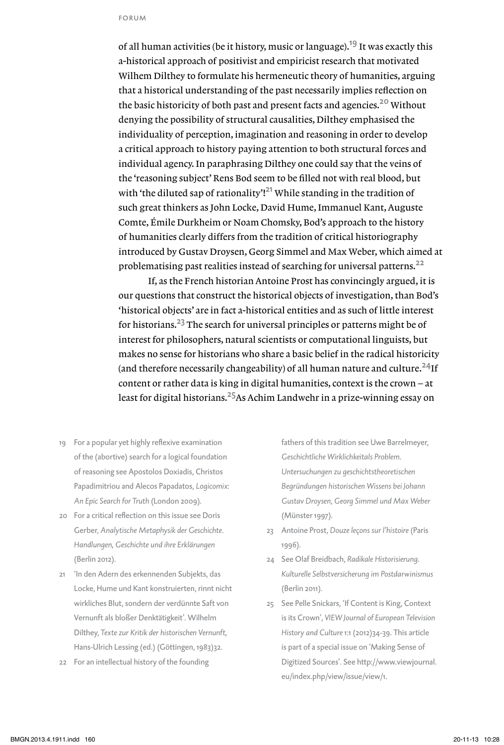of all human activities (be it history, music or language).<sup>19</sup> It was exactly this a-historical approach of positivist and empiricist research that motivated Wilhem Dilthey to formulate his hermeneutic theory of humanities, arguing that a historical understanding of the past necessarily implies reflection on the basic historicity of both past and present facts and agencies.<sup>20</sup> Without denying the possibility of structural causalities, Dilthey emphasised the individuality of perception, imagination and reasoning in order to develop a critical approach to history paying attention to both structural forces and individual agency. In paraphrasing Dilthey one could say that the veins of the 'reasoning subject' Rens Bod seem to be filled not with real blood, but with 'the diluted sap of rationality'!<sup>21</sup> While standing in the tradition of such great thinkers as John Locke, David Hume, Immanuel Kant, Auguste Comte, Émile Durkheim or Noam Chomsky, Bod's approach to the history of humanities clearly differs from the tradition of critical historiography introduced by Gustav Droysen, Georg Simmel and Max Weber, which aimed at problematising past realities instead of searching for universal patterns.<sup>22</sup>

If, as the French historian Antoine Prost has convincingly argued, it is our questions that construct the historical objects of investigation, than Bod's 'historical objects' are in fact a-historical entities and as such of little interest for historians.23 The search for universal principles or patterns might be of interest for philosophers, natural scientists or computational linguists, but makes no sense for historians who share a basic belief in the radical historicity (and therefore necessarily changeability) of all human nature and culture.<sup>24</sup>If content or rather data is king in digital humanities, context is the crown – at least for digital historians.<sup>25</sup>As Achim Landwehr in a prize-winning essay on

- 19 For a popular yet highly reflexive examination of the (abortive) search for a logical foundation of reasoning see Apostolos Doxiadis, Christos Papadimitriou and Alecos Papadatos, *Logicomix: An Epic Search for Truth* (London 2009).
- 20 For a critical reflection on this issue see Doris Gerber, *Analytische Metaphysik der Geschichte. Handlungen, Geschichte und ihre Erklärungen* (Berlin 2012).
- 21 'In den Adern des erkennenden Subjekts, das Locke, Hume und Kant konstruierten, rinnt nicht wirkliches Blut, sondern der verdünnte Saft von Vernunft als bloßer Denktätigkeit'. Wilhelm Dilthey, *Texte zur Kritik der historischen Vernunft*, Hans-Ulrich Lessing (ed.) (Göttingen, 1983)32.
- 22 For an intellectual history of the founding

fathers of this tradition see Uwe Barrelmeyer, *Geschichtliche Wirklichkeitals Problem. Untersuchungen zu geschichtstheoretischen Begründungen historischen Wissens bei Johann Gustav Droysen, Georg Simmel und Max Weber* (Münster 1997).

- 23 Antoine Prost, *Douze leçons sur l'histoire* (Paris 1996).
- 24 See Olaf Breidbach, *Radikale Historisierung. Kulturelle Selbstversicherung im Postdarwinismus* (Berlin 2011).
- 25 See Pelle Snickars, 'If Content is King, Context is its Crown', *VIEW Journal of European Television History and Culture* 1:1 (2012)34-39. This article is part of a special issue on 'Making Sense of Digitized Sources'. See http://www.viewjournal. eu/index.php/view/issue/view/1.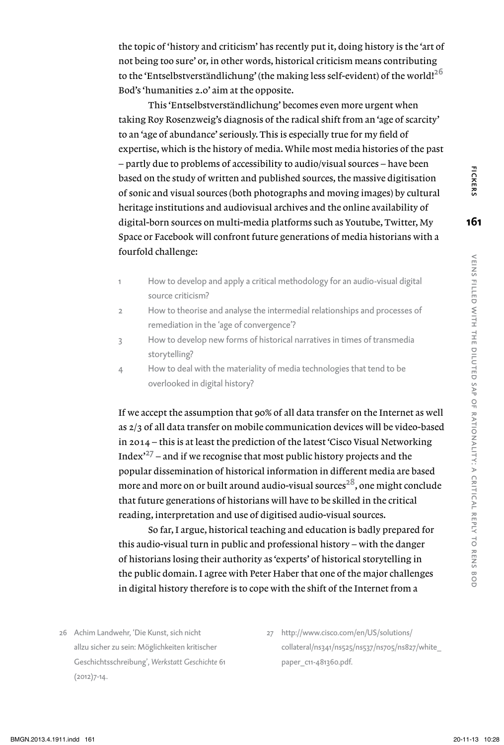the topic of 'history and criticism' has recently put it, doing history is the 'art of not being too sure' or, in other words, historical criticism means contributing to the 'Entselbstverständlichung' (the making less self-evident) of the world!<sup>26</sup> Bod's 'humanities 2.0' aim at the opposite.

This 'Entselbstverständlichung' becomes even more urgent when taking Roy Rosenzweig's diagnosis of the radical shift from an 'age of scarcity' to an 'age of abundance' seriously. This is especially true for my field of expertise, which is the history of media. While most media histories of the past – partly due to problems of accessibility to audio/visual sources – have been based on the study of written and published sources, the massive digitisation of sonic and visual sources (both photographs and moving images) by cultural heritage institutions and audiovisual archives and the online availability of digital-born sources on multi-media platforms such as Youtube, Twitter, My Space or Facebook will confront future generations of media historians with a fourfold challenge:

- 1 How to develop and apply a critical methodology for an audio-visual digital source criticism?
- 2 How to theorise and analyse the intermedial relationships and processes of remediation in the 'age of convergence'?
- 3 How to develop new forms of historical narratives in times of transmedia storytelling?
- 4 How to deal with the materiality of media technologies that tend to be overlooked in digital history?

If we accept the assumption that 90% of all data transfer on the Internet as well as 2/3 of all data transfer on mobile communication devices will be video-based in 2014 – this is at least the prediction of the latest 'Cisco Visual Networking Index $x^{27}$  – and if we recognise that most public history projects and the popular dissemination of historical information in different media are based more and more on or built around audio-visual sources<sup>28</sup>, one might conclude that future generations of historians will have to be skilled in the critical reading, interpretation and use of digitised audio-visual sources.

So far, I argue, historical teaching and education is badly prepared for this audio-visual turn in public and professional history – with the danger of historians losing their authority as 'experts' of historical storytelling in the public domain. I agree with Peter Haber that one of the major challenges in digital history therefore is to cope with the shift of the Internet from a

- 26 Achim Landwehr, 'Die Kunst, sich nicht allzu sicher zu sein: Möglichkeiten kritischer Geschichtsschreibung', *Werkstatt Geschichte* 61 (2012)7-14.
- 27 http://www.cisco.com/en/US/solutions/ collateral/ns341/ns525/ns537/ns705/ns827/white\_ paper\_c11-481360.pdf.

**161**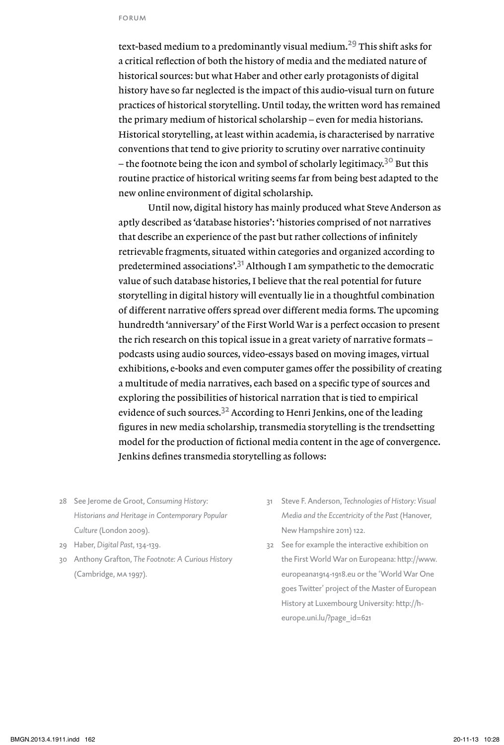text-based medium to a predominantly visual medium.<sup>29</sup> This shift asks for a critical reflection of both the history of media and the mediated nature of historical sources: but what Haber and other early protagonists of digital history have so far neglected is the impact of this audio-visual turn on future practices of historical storytelling. Until today, the written word has remained the primary medium of historical scholarship – even for media historians. Historical storytelling, at least within academia, is characterised by narrative conventions that tend to give priority to scrutiny over narrative continuity – the footnote being the icon and symbol of scholarly legitimacy.<sup>30</sup> But this routine practice of historical writing seems far from being best adapted to the new online environment of digital scholarship.

Until now, digital history has mainly produced what Steve Anderson as aptly described as 'database histories': 'histories comprised of not narratives that describe an experience of the past but rather collections of infinitely retrievable fragments, situated within categories and organized according to predetermined associations'.31 Although I am sympathetic to the democratic value of such database histories, I believe that the real potential for future storytelling in digital history will eventually lie in a thoughtful combination of different narrative offers spread over different media forms. The upcoming hundredth 'anniversary' of the First World War is a perfect occasion to present the rich research on this topical issue in a great variety of narrative formats – podcasts using audio sources, video-essays based on moving images, virtual exhibitions, e-books and even computer games offer the possibility of creating a multitude of media narratives, each based on a specific type of sources and exploring the possibilities of historical narration that is tied to empirical evidence of such sources.<sup>32</sup> According to Henri Jenkins, one of the leading figures in new media scholarship, transmedia storytelling is the trendsetting model for the production of fictional media content in the age of convergence. Jenkins defines transmedia storytelling as follows:

- 28 See Jerome de Groot, *Consuming History: Historians and Heritage in Contemporary Popular Culture* (London 2009).
- 29 Haber, *Digital Past*, 134-139.
- 30 Anthony Grafton, *The Footnote: A Curious History* (Cambridge, ma 1997).
- 31 Steve F. Anderson, *Technologies of History: Visual Media and the Eccentricity of the Past* (Hanover, New Hampshire 2011) 122.
- 32 See for example the interactive exhibition on the First World War on Europeana: http://www. europeana1914-1918.eu or the 'World War One goes Twitter' project of the Master of European History at Luxembourg University: http://heurope.uni.lu/?page\_id=621